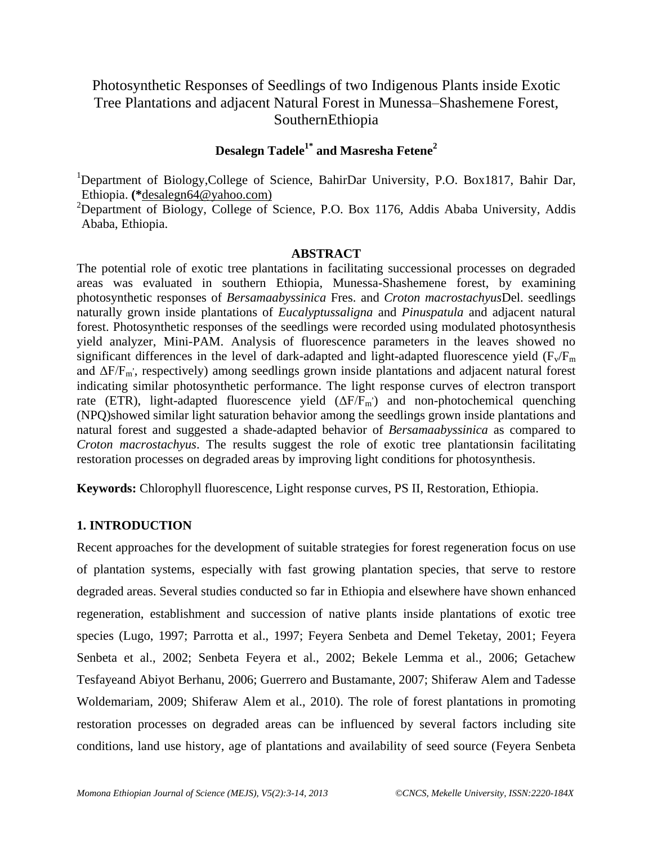# Photosynthetic Responses of Seedlings of two Indigenous Plants inside Exotic Tree Plantations and adjacent Natural Forest in Munessa–Shashemene Forest, SouthernEthiopia

# **Desalegn Tadele1\* and Masresha Fetene<sup>2</sup>**

<sup>1</sup>Department of Biology,College of Science, BahirDar University, P.O. Box1817, Bahir Dar, Ethiopia. **(\***[desalegn64@yahoo.com\)](mailto:desalegn64@yahoo.com)

<sup>2</sup>Department of Biology, College of Science, P.O. Box 1176, Addis Ababa University, Addis Ababa, Ethiopia.

#### **ABSTRACT**

The potential role of exotic tree plantations in facilitating successional processes on degraded areas was evaluated in southern Ethiopia, Munessa-Shashemene forest, by examining photosynthetic responses of *Bersamaabyssinica* Fres. and *Croton macrostachyus*Del. seedlings naturally grown inside plantations of *Eucalyptussaligna* and *Pinuspatula* and adjacent natural forest. Photosynthetic responses of the seedlings were recorded using modulated photosynthesis yield analyzer, Mini-PAM. Analysis of fluorescence parameters in the leaves showed no significant differences in the level of dark-adapted and light-adapted fluorescence yield  $(F_v/F_m)$ and ΔF/F<sup>m</sup> , , respectively) among seedlings grown inside plantations and adjacent natural forest indicating similar photosynthetic performance. The light response curves of electron transport rate (ETR), light-adapted fluorescence yield  $(\Delta F/F_m)$  and non-photochemical quenching (NPQ)showed similar light saturation behavior among the seedlings grown inside plantations and natural forest and suggested a shade-adapted behavior of *Bersamaabyssinica* as compared to *Croton macrostachyus*. The results suggest the role of exotic tree plantationsin facilitating restoration processes on degraded areas by improving light conditions for photosynthesis.

**Keywords:** Chlorophyll fluorescence, Light response curves, PS II, Restoration, Ethiopia.

#### **1. INTRODUCTION**

Recent approaches for the development of suitable strategies for forest regeneration focus on use of plantation systems, especially with fast growing plantation species, that serve to restore degraded areas. Several studies conducted so far in Ethiopia and elsewhere have shown enhanced regeneration, establishment and succession of native plants inside plantations of exotic tree species (Lugo, 1997; Parrotta et al., 1997; Feyera Senbeta and Demel Teketay, 2001; Feyera Senbeta et al., 2002; Senbeta Feyera et al., 2002; Bekele Lemma et al., 2006; Getachew Tesfayeand Abiyot Berhanu, 2006; Guerrero and Bustamante, 2007; Shiferaw Alem and Tadesse Woldemariam, 2009; Shiferaw Alem et al., 2010). The role of forest plantations in promoting restoration processes on degraded areas can be influenced by several factors including site conditions, land use history, age of plantations and availability of seed source (Feyera Senbeta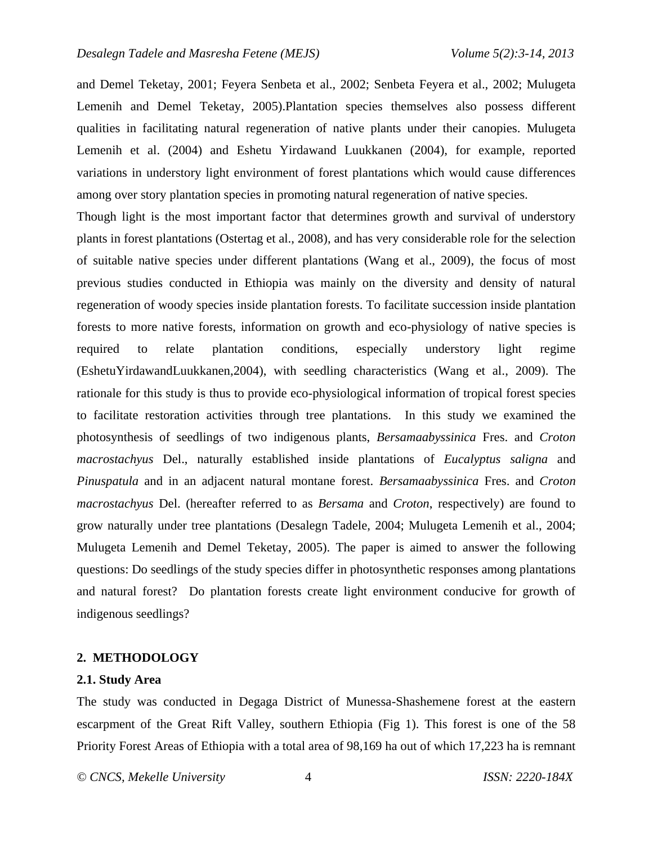and Demel Teketay, 2001; Feyera Senbeta et al., 2002; Senbeta Feyera et al., 2002; Mulugeta Lemenih and Demel Teketay, 2005).Plantation species themselves also possess different qualities in facilitating natural regeneration of native plants under their canopies. Mulugeta Lemenih et al. (2004) and Eshetu Yirdawand Luukkanen (2004), for example, reported variations in understory light environment of forest plantations which would cause differences among over story plantation species in promoting natural regeneration of native species.

Though light is the most important factor that determines growth and survival of understory plants in forest plantations (Ostertag et al., 2008), and has very considerable role for the selection of suitable native species under different plantations (Wang et al., 2009), the focus of most previous studies conducted in Ethiopia was mainly on the diversity and density of natural regeneration of woody species inside plantation forests. To facilitate succession inside plantation forests to more native forests, information on growth and eco-physiology of native species is required to relate plantation conditions, especially understory light regime (EshetuYirdawandLuukkanen,2004), with seedling characteristics (Wang et al., 2009). The rationale for this study is thus to provide eco-physiological information of tropical forest species to facilitate restoration activities through tree plantations. In this study we examined the photosynthesis of seedlings of two indigenous plants, *Bersamaabyssinica* Fres. and *Croton macrostachyus* Del., naturally established inside plantations of *Eucalyptus saligna* and *Pinuspatula* and in an adjacent natural montane forest. *Bersamaabyssinica* Fres. and *Croton macrostachyus* Del. (hereafter referred to as *Bersama* and *Croton*, respectively) are found to grow naturally under tree plantations (Desalegn Tadele, 2004; Mulugeta Lemenih et al., 2004; Mulugeta Lemenih and Demel Teketay, 2005). The paper is aimed to answer the following questions: Do seedlings of the study species differ in photosynthetic responses among plantations and natural forest? Do plantation forests create light environment conducive for growth of indigenous seedlings?

#### **2. METHODOLOGY**

#### **2.1. Study Area**

The study was conducted in Degaga District of Munessa-Shashemene forest at the eastern escarpment of the Great Rift Valley, southern Ethiopia (Fig 1). This forest is one of the 58 Priority Forest Areas of Ethiopia with a total area of 98,169 ha out of which 17,223 ha is remnant

*© CNCS, Mekelle University* 4 *ISSN: 2220-184X*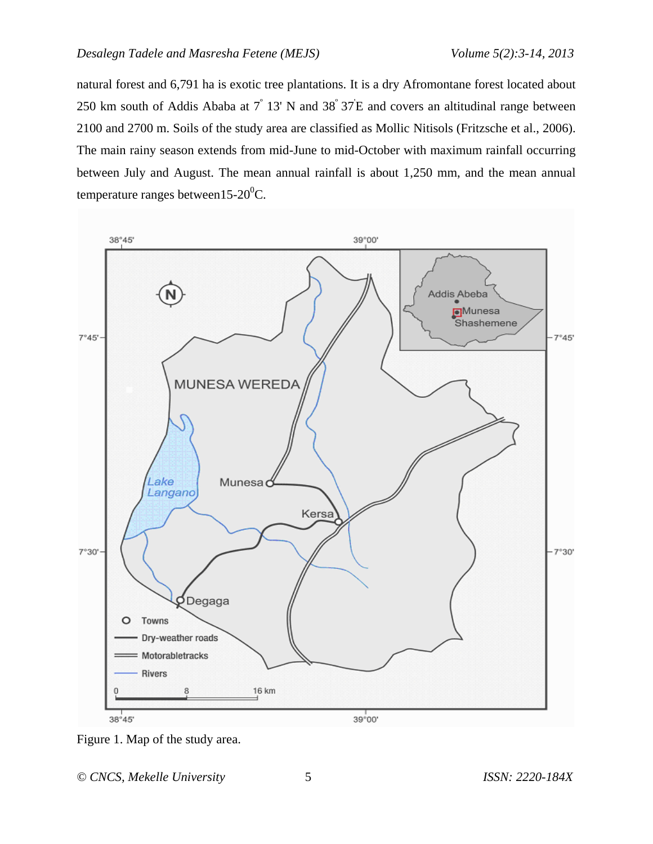natural forest and 6,791 ha is exotic tree plantations. It is a dry Afromontane forest located about 250 km south of Addis Ababa at  $7^{\degree}$  13' N and 38 $^{\degree}$ 37 E and covers an altitudinal range between 2100 and 2700 m. Soils of the study area are classified as Mollic Nitisols (Fritzsche et al., 2006). The main rainy season extends from mid-June to mid-October with maximum rainfall occurring between July and August. The mean annual rainfall is about 1,250 mm, and the mean annual temperature ranges between15-20 $\rm ^{0}C$ .



Figure 1. Map of the study area.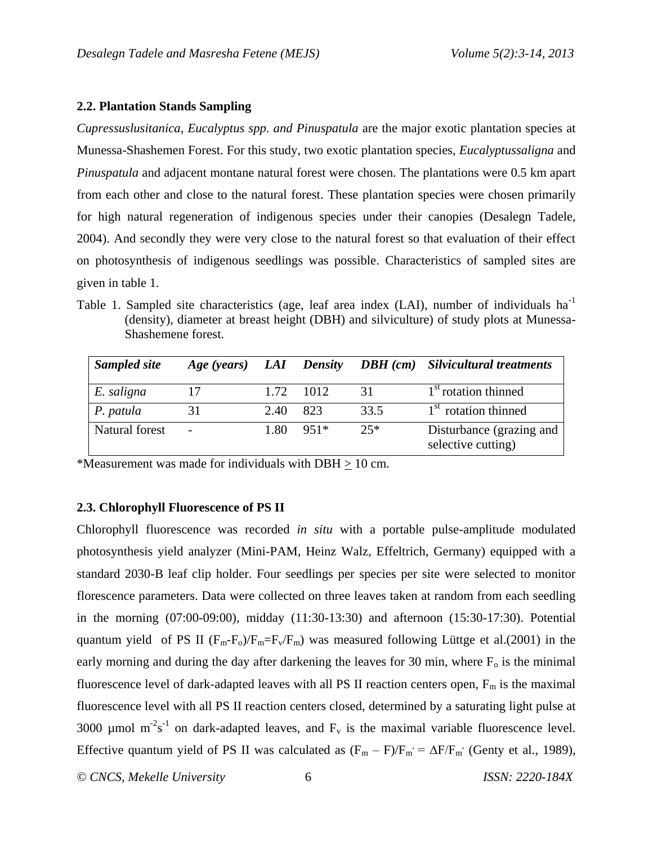#### **2.2. Plantation Stands Sampling**

*Cupressuslusitanica*, *Eucalyptus spp*. *and Pinuspatula* are the major exotic plantation species at Munessa-Shashemen Forest. For this study, two exotic plantation species, *Eucalyptussaligna* and *Pinuspatula* and adjacent montane natural forest were chosen. The plantations were 0.5 km apart from each other and close to the natural forest. These plantation species were chosen primarily for high natural regeneration of indigenous species under their canopies (Desalegn Tadele, 2004). And secondly they were very close to the natural forest so that evaluation of their effect on photosynthesis of indigenous seedlings was possible. Characteristics of sampled sites are given in table 1.

Table 1. Sampled site characteristics (age, leaf area index (LAI), number of individuals ha<sup>-1</sup> (density), diameter at breast height (DBH) and silviculture) of study plots at Munessa-Shashemene forest.

| Sampled site   | Age (years) LAI Density |       |           |       | <b>DBH</b> (cm) Silvicultural treatments       |
|----------------|-------------------------|-------|-----------|-------|------------------------------------------------|
| E. saligna     | 17                      |       | 1.72 1012 | 31    | 1 <sup>st</sup> rotation thinned               |
| P. patula      | 31                      | 2.40  | 823       | 33.5  | 1 <sup>st</sup> rotation thinned               |
| Natural forest |                         | 1.80. | $951*$    | $25*$ | Disturbance (grazing and<br>selective cutting) |

\*Measurement was made for individuals with DBH > 10 cm.

## **2.3. Chlorophyll Fluorescence of PS II**

Chlorophyll fluorescence was recorded *in situ* with a portable pulse-amplitude modulated photosynthesis yield analyzer (Mini-PAM, Heinz Walz, Effeltrich, Germany) equipped with a standard 2030-B leaf clip holder. Four seedlings per species per site were selected to monitor florescence parameters. Data were collected on three leaves taken at random from each seedling in the morning (07:00-09:00), midday (11:30-13:30) and afternoon (15:30-17:30). Potential quantum yield of PS II  $(F_m-F_o)/F_m=F_v/F_m$ ) was measured following Lüttge et al.(2001) in the early morning and during the day after darkening the leaves for 30 min, where  $F<sub>o</sub>$  is the minimal fluorescence level of dark-adapted leaves with all PS II reaction centers open,  $F_m$  is the maximal fluorescence level with all PS II reaction centers closed, determined by a saturating light pulse at 3000 µmol m<sup>-2</sup>s<sup>-1</sup> on dark-adapted leaves, and  $F_v$  is the maximal variable fluorescence level. Effective quantum yield of PS II was calculated as  $(F_m - F)/F_m = \Delta F/F_m$  (Genty et al., 1989),

*© CNCS, Mekelle University* 6 *ISSN: 2220-184X*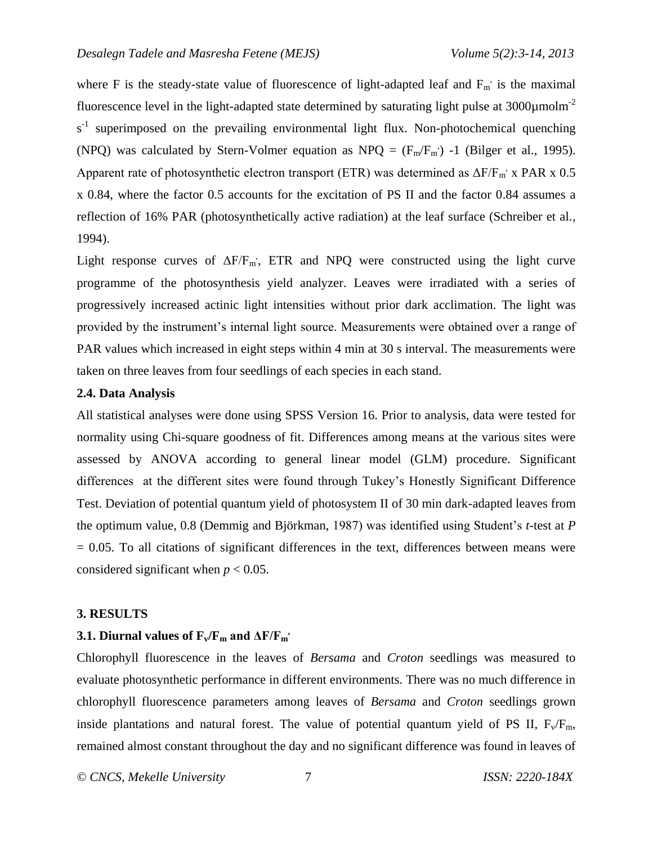where F is the steady-state value of fluorescence of light-adapted leaf and  $F_m$  is the maximal fluorescence level in the light-adapted state determined by saturating light pulse at  $3000 \mu$ molm<sup>-2</sup>  $s<sup>-1</sup>$  superimposed on the prevailing environmental light flux. Non-photochemical quenching (NPQ) was calculated by Stern-Volmer equation as NPQ =  $(F_m/F_m)$  -1 (Bilger et al., 1995). Apparent rate of photosynthetic electron transport (ETR) was determined as  $\Delta F/F_m$  x PAR x 0.5 x 0.84, where the factor 0.5 accounts for the excitation of PS II and the factor 0.84 assumes a reflection of 16% PAR (photosynthetically active radiation) at the leaf surface (Schreiber et al., 1994).

Light response curves of  $\Delta F/F_m$ ; ETR and NPQ were constructed using the light curve programme of the photosynthesis yield analyzer. Leaves were irradiated with a series of progressively increased actinic light intensities without prior dark acclimation. The light was provided by the instrument's internal light source. Measurements were obtained over a range of PAR values which increased in eight steps within 4 min at 30 s interval. The measurements were taken on three leaves from four seedlings of each species in each stand.

#### **2.4. Data Analysis**

All statistical analyses were done using SPSS Version 16. Prior to analysis, data were tested for normality using Chi-square goodness of fit. Differences among means at the various sites were assessed by ANOVA according to general linear model (GLM) procedure. Significant differences at the different sites were found through Tukey's Honestly Significant Difference Test. Deviation of potential quantum yield of photosystem II of 30 min dark-adapted leaves from the optimum value, 0.8 (Demmig and Björkman, 1987) was identified using Student's *t*-test at *P*   $= 0.05$ . To all citations of significant differences in the text, differences between means were considered significant when  $p < 0.05$ .

#### **3. RESULTS**

# **3.1. Diurnal values of**  $\mathbf{F}_\mathbf{v} / \mathbf{F}_\mathbf{m}$  **and**  $\Delta \mathbf{F} / \mathbf{F}_\mathbf{m}$ **<sup>,</sup>**

Chlorophyll fluorescence in the leaves of *Bersama* and *Croton* seedlings was measured to evaluate photosynthetic performance in different environments. There was no much difference in chlorophyll fluorescence parameters among leaves of *Bersama* and *Croton* seedlings grown inside plantations and natural forest. The value of potential quantum yield of PS II,  $F_v/F_m$ , remained almost constant throughout the day and no significant difference was found in leaves of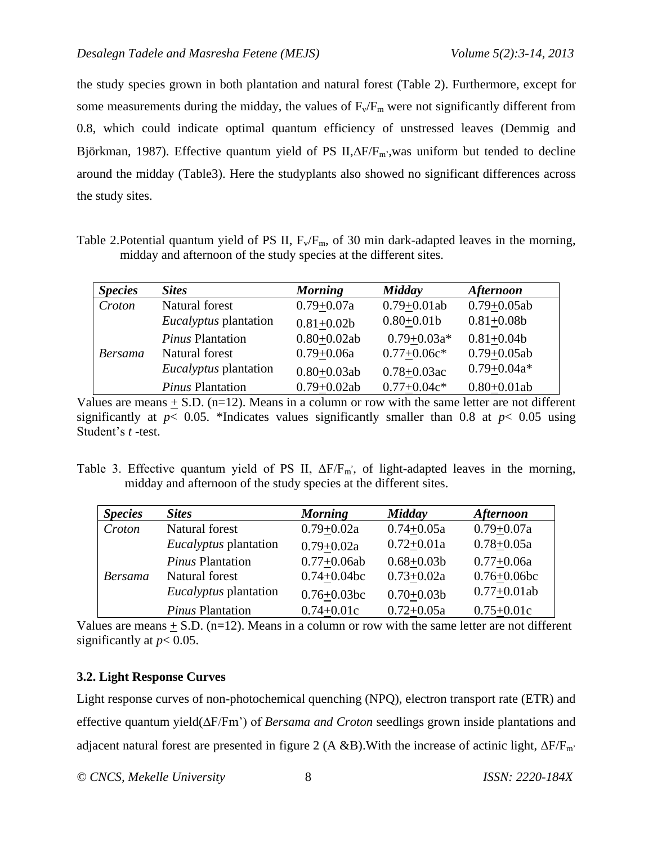the study species grown in both plantation and natural forest (Table 2). Furthermore, except for some measurements during the midday, the values of  $F_v/F_m$  were not significantly different from 0.8, which could indicate optimal quantum efficiency of unstressed leaves (Demmig and Björkman, 1987). Effective quantum yield of PS II, $\Delta F/F_{m}$ , was uniform but tended to decline around the midday (Table3). Here the studyplants also showed no significant differences across the study sites.

Table 2. Potential quantum yield of PS II,  $F_v/F_m$ , of 30 min dark-adapted leaves in the morning, midday and afternoon of the study species at the different sites.

| <b>Species</b> | <b>Sites</b>                 | <b>Morning</b>  | Midday           | <b>Afternoon</b> |
|----------------|------------------------------|-----------------|------------------|------------------|
| Croton         | Natural forest               | $0.79 + 0.07a$  | $0.79 + 0.01ab$  | $0.79 + 0.05ab$  |
|                | <i>Eucalyptus</i> plantation | $0.81 + 0.02b$  | $0.80 + 0.01b$   | $0.81 + 0.08b$   |
|                | <b>Pinus Plantation</b>      | $0.80 + 0.02ab$ | $0.79 + 0.03a*$  | $0.81 + 0.04b$   |
| <b>Bersama</b> | Natural forest               | $0.79 + 0.06a$  | $0.77+0.06c*$    | $0.79 + 0.05ab$  |
|                | <i>Eucalyptus</i> plantation | $0.80 + 0.03ab$ | $0.78 + 0.03$ ac | $0.79 + 0.04a*$  |
|                | Pinus Plantation             | $0.79 + 0.02ab$ | $0.77+0.04c*$    | $0.80 + 0.01ab$  |

Values are means  $\pm$  S.D. (n=12). Means in a column or row with the same letter are not different significantly at  $p < 0.05$ . \*Indicates values significantly smaller than 0.8 at  $p < 0.05$  using Student's *t* -test.

Table 3. Effective quantum yield of PS II,  $\Delta F/F_m$ , of light-adapted leaves in the morning, midday and afternoon of the study species at the different sites.

| <b>Species</b> | <b>Sites</b>                 | <b>Morning</b>   | Midday         | <b>Afternoon</b> |
|----------------|------------------------------|------------------|----------------|------------------|
| Croton         | Natural forest               | $0.79 + 0.02a$   | $0.74 + 0.05a$ | $0.79 + 0.07a$   |
|                | <i>Eucalyptus</i> plantation | $0.79 + 0.02a$   | $0.72 + 0.01a$ | $0.78 + 0.05a$   |
|                | <b>Pinus Plantation</b>      | $0.77+0.06ab$    | $0.68 + 0.03b$ | $0.77 + 0.06a$   |
| <b>Bersama</b> | Natural forest               | $0.74 + 0.04$ bc | $0.73 + 0.02a$ | $0.76 + 0.06$ bc |
|                | <i>Eucalyptus</i> plantation | $0.76 + 0.03$ bc | $0.70 + 0.03b$ | $0.77+0.01ab$    |
|                | Pinus Plantation             | $0.74 + 0.01c$   | $0.72 + 0.05a$ | $0.75 + 0.01c$   |

Values are means  $\pm$  S.D. (n=12). Means in a column or row with the same letter are not different significantly at  $p < 0.05$ .

## **3.2. Light Response Curves**

Light response curves of non-photochemical quenching (NPQ), electron transport rate (ETR) and effective quantum yield( $\Delta F/Fm'$ ) of *Bersama and Croton* seedlings grown inside plantations and adjacent natural forest are presented in figure 2 (A &B). With the increase of actinic light,  $\Delta F/F_m$ .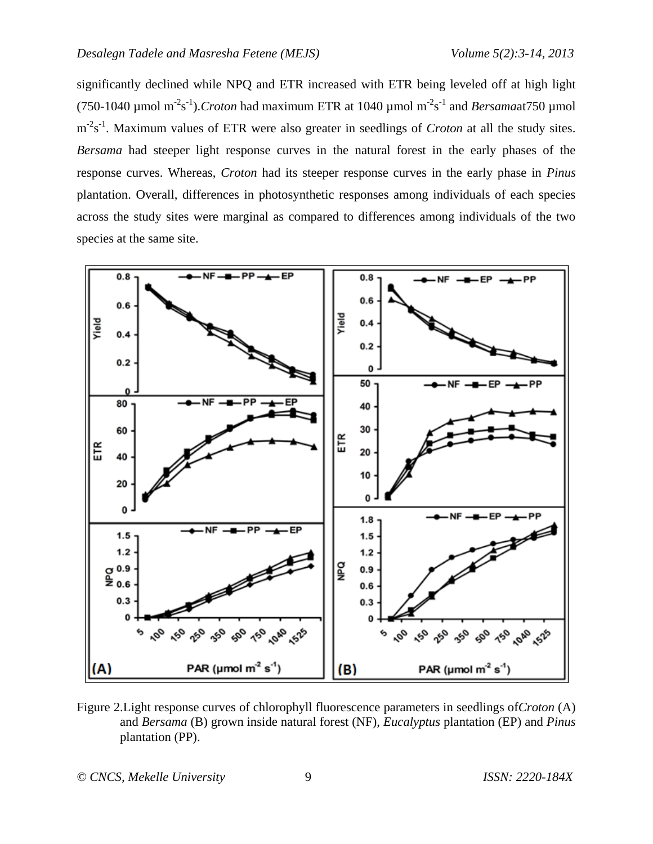significantly declined while NPQ and ETR increased with ETR being leveled off at high light (750-1040 µmol m<sup>-2</sup>s<sup>-1</sup>).*Croton* had maximum ETR at 1040 µmol m<sup>-2</sup>s<sup>-1</sup> and *Bersama*at750 µmol m<sup>-2</sup>s<sup>-1</sup>. Maximum values of ETR were also greater in seedlings of *Croton* at all the study sites. *Bersama* had steeper light response curves in the natural forest in the early phases of the response curves. Whereas, *Croton* had its steeper response curves in the early phase in *Pinus*  plantation. Overall, differences in photosynthetic responses among individuals of each species across the study sites were marginal as compared to differences among individuals of the two species at the same site.



Figure 2.Light response curves of chlorophyll fluorescence parameters in seedlings of*Croton* (A) and *Bersama* (B) grown inside natural forest (NF), *Eucalyptus* plantation (EP) and *Pinus* plantation (PP).

*© CNCS, Mekelle University* 9 *ISSN: 2220-184X*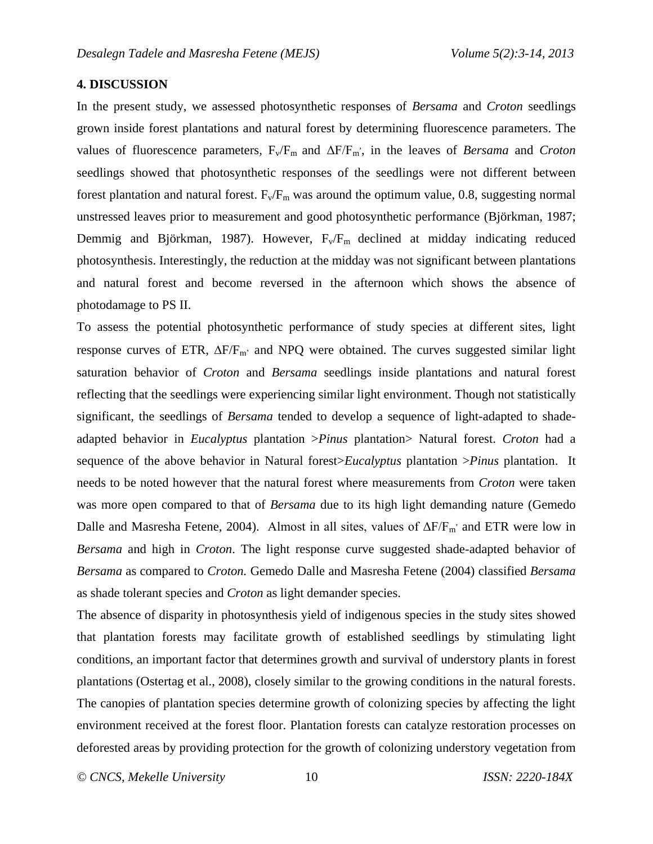### **4. DISCUSSION**

In the present study, we assessed photosynthetic responses of *Bersama* and *Croton* seedlings grown inside forest plantations and natural forest by determining fluorescence parameters. The values of fluorescence parameters,  $F_v/F_m$  and  $\Delta F/F_m$ , in the leaves of *Bersama* and *Croton* seedlings showed that photosynthetic responses of the seedlings were not different between forest plantation and natural forest.  $F_v/F_m$  was around the optimum value, 0.8, suggesting normal unstressed leaves prior to measurement and good photosynthetic performance (Björkman, 1987; Demmig and Björkman, 1987). However,  $F_v/F_m$  declined at midday indicating reduced photosynthesis. Interestingly, the reduction at the midday was not significant between plantations and natural forest and become reversed in the afternoon which shows the absence of photodamage to PS II.

To assess the potential photosynthetic performance of study species at different sites, light response curves of ETR,  $\Delta F/F_{m'}$  and NPQ were obtained. The curves suggested similar light saturation behavior of *Croton* and *Bersama* seedlings inside plantations and natural forest reflecting that the seedlings were experiencing similar light environment. Though not statistically significant, the seedlings of *Bersama* tended to develop a sequence of light-adapted to shadeadapted behavior in *Eucalyptus* plantation >*Pinus* plantation> Natural forest. *Croton* had a sequence of the above behavior in Natural forest>*Eucalyptus* plantation >*Pinus* plantation. It needs to be noted however that the natural forest where measurements from *Croton* were taken was more open compared to that of *Bersama* due to its high light demanding nature (Gemedo Dalle and Masresha Fetene, 2004). Almost in all sites, values of  $\Delta F/F_m$  and ETR were low in *Bersama* and high in *Croton*. The light response curve suggested shade-adapted behavior of *Bersama* as compared to *Croton.* Gemedo Dalle and Masresha Fetene (2004) classified *Bersama* as shade tolerant species and *Croton* as light demander species.

The absence of disparity in photosynthesis yield of indigenous species in the study sites showed that plantation forests may facilitate growth of established seedlings by stimulating light conditions, an important factor that determines growth and survival of understory plants in forest plantations (Ostertag et al., 2008), closely similar to the growing conditions in the natural forests. The canopies of plantation species determine growth of colonizing species by affecting the light environment received at the forest floor. Plantation forests can catalyze restoration processes on deforested areas by providing protection for the growth of colonizing understory vegetation from

*© CNCS, Mekelle University* 10 *ISSN: 2220-184X*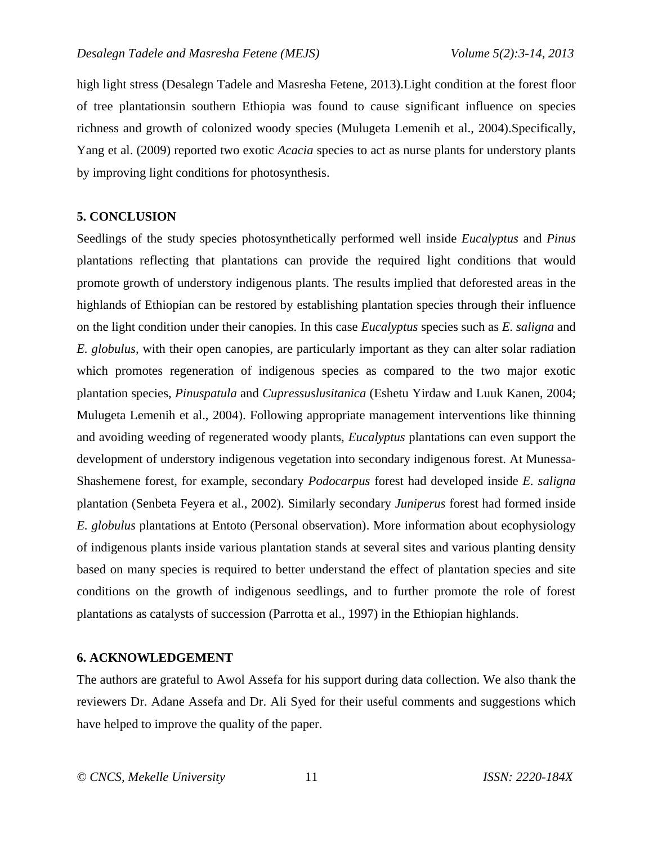high light stress (Desalegn Tadele and Masresha Fetene, 2013).Light condition at the forest floor of tree plantationsin southern Ethiopia was found to cause significant influence on species richness and growth of colonized woody species (Mulugeta Lemenih et al., 2004).Specifically, Yang et al. (2009) reported two exotic *Acacia* species to act as nurse plants for understory plants by improving light conditions for photosynthesis.

## **5. CONCLUSION**

Seedlings of the study species photosynthetically performed well inside *Eucalyptus* and *Pinus* plantations reflecting that plantations can provide the required light conditions that would promote growth of understory indigenous plants. The results implied that deforested areas in the highlands of Ethiopian can be restored by establishing plantation species through their influence on the light condition under their canopies. In this case *Eucalyptus* species such as *E. saligna* and *E. globulus*, with their open canopies, are particularly important as they can alter solar radiation which promotes regeneration of indigenous species as compared to the two major exotic plantation species, *Pinuspatula* and *Cupressuslusitanica* (Eshetu Yirdaw and Luuk Kanen, 2004; Mulugeta Lemenih et al., 2004). Following appropriate management interventions like thinning and avoiding weeding of regenerated woody plants, *Eucalyptus* plantations can even support the development of understory indigenous vegetation into secondary indigenous forest. At Munessa-Shashemene forest, for example, secondary *Podocarpus* forest had developed inside *E. saligna* plantation (Senbeta Feyera et al., 2002). Similarly secondary *Juniperus* forest had formed inside *E. globulus* plantations at Entoto (Personal observation). More information about ecophysiology of indigenous plants inside various plantation stands at several sites and various planting density based on many species is required to better understand the effect of plantation species and site conditions on the growth of indigenous seedlings, and to further promote the role of forest plantations as catalysts of succession (Parrotta et al., 1997) in the Ethiopian highlands.

#### **6. ACKNOWLEDGEMENT**

The authors are grateful to Awol Assefa for his support during data collection. We also thank the reviewers Dr. Adane Assefa and Dr. Ali Syed for their useful comments and suggestions which have helped to improve the quality of the paper.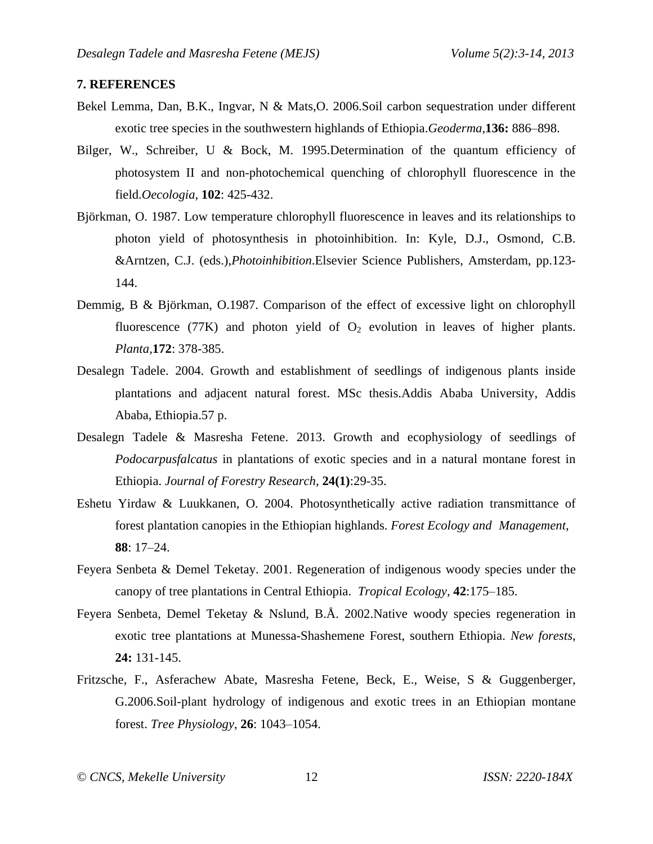#### **7. REFERENCES**

- Bekel Lemma, Dan, B.K., Ingvar, N & Mats,O. 2006.Soil carbon sequestration under different exotic tree species in the southwestern highlands of Ethiopia.*Geoderma*,**136:** 886–898.
- Bilger, W., Schreiber, U & Bock, M. 1995.Determination of the quantum efficiency of photosystem II and non-photochemical quenching of chlorophyll fluorescence in the field.*Oecologia*, **102**: 425-432.
- Björkman, O. 1987. Low temperature chlorophyll fluorescence in leaves and its relationships to photon yield of photosynthesis in photoinhibition. In: Kyle, D.J., Osmond, C.B. &Arntzen, C.J. (eds.),*Photoinhibition*.Elsevier Science Publishers, Amsterdam, pp.123- 144.
- Demmig, B & Björkman, O.1987. Comparison of the effect of excessive light on chlorophyll fluorescence (77K) and photon yield of  $O_2$  evolution in leaves of higher plants. *Planta*,**172**: 378-385.
- Desalegn Tadele. 2004. Growth and establishment of seedlings of indigenous plants inside plantations and adjacent natural forest. MSc thesis.Addis Ababa University, Addis Ababa, Ethiopia.57 p.
- Desalegn Tadele & Masresha Fetene. 2013. Growth and ecophysiology of seedlings of *Podocarpusfalcatus* in plantations of exotic species and in a natural montane forest in Ethiopia. *Journal of Forestry Research*, **24(1)**:29-35.
- Eshetu Yirdaw & Luukkanen, O. 2004. Photosynthetically active radiation transmittance of forest plantation canopies in the Ethiopian highlands. *Forest Ecology and Management*, **88**: 17–24.
- Feyera Senbeta & Demel Teketay. 2001. Regeneration of indigenous woody species under the canopy of tree plantations in Central Ethiopia. *Tropical Ecology*, **42**:175–185.
- Feyera Senbeta, Demel Teketay & Nslund, B.Å. 2002.Native woody species regeneration in exotic tree plantations at Munessa-Shashemene Forest, southern Ethiopia. *New forests*, **24:** 131-145.
- Fritzsche, F., Asferachew Abate, Masresha Fetene, Beck, E., Weise, S & Guggenberger, G.2006.Soil-plant hydrology of indigenous and exotic trees in an Ethiopian montane forest. *Tree Physiology*, **26**: 1043–1054.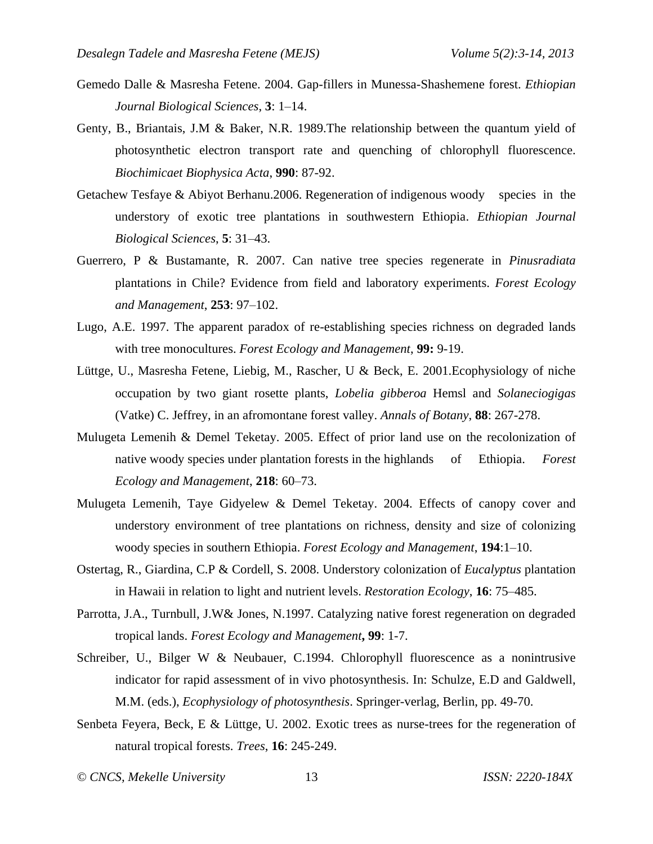- Gemedo Dalle & Masresha Fetene. 2004. Gap-fillers in Munessa-Shashemene forest. *Ethiopian Journal Biological Sciences*, **3**: 1–14.
- Genty, B., Briantais, J.M & Baker, N.R. 1989.The relationship between the quantum yield of photosynthetic electron transport rate and quenching of chlorophyll fluorescence. *Biochimicaet Biophysica Acta*, **990**: 87-92.
- Getachew Tesfaye & Abiyot Berhanu.2006. Regeneration of indigenous woody species in the understory of exotic tree plantations in southwestern Ethiopia. *Ethiopian Journal Biological Sciences*, **5**: 31–43.
- Guerrero, P & Bustamante, R. 2007. Can native tree species regenerate in *Pinusradiata* plantations in Chile? Evidence from field and laboratory experiments. *Forest Ecology and Management*, **253**: 97–102.
- Lugo, A.E. 1997. The apparent paradox of re-establishing species richness on degraded lands with tree monocultures. *Forest Ecology and Management*, **99:** 9-19.
- Lüttge, U., Masresha Fetene, Liebig, M., Rascher, U & Beck, E. 2001.Ecophysiology of niche occupation by two giant rosette plants, *Lobelia gibberoa* Hemsl and *Solaneciogigas* (Vatke) C. Jeffrey, in an afromontane forest valley. *Annals of Botany*, **88**: 267-278.
- Mulugeta Lemenih & Demel Teketay. 2005. Effect of prior land use on the recolonization of native woody species under plantation forests in the highlands of Ethiopia. *Forest Ecology and Management*, **218**: 60–73.
- Mulugeta Lemenih, Taye Gidyelew & Demel Teketay. 2004. Effects of canopy cover and understory environment of tree plantations on richness, density and size of colonizing woody species in southern Ethiopia. *Forest Ecology and Management*, **194**:1–10.
- Ostertag, R., Giardina, C.P & Cordell, S. 2008. Understory colonization of *Eucalyptus* plantation in Hawaii in relation to light and nutrient levels. *Restoration Ecology*, **16**: 75–485.
- Parrotta, J.A., Turnbull, J.W& Jones, N.1997. Catalyzing native forest regeneration on degraded tropical lands. *Forest Ecology and Management***, 99**: 1-7.
- Schreiber, U., Bilger W & Neubauer, C.1994. Chlorophyll fluorescence as a nonintrusive indicator for rapid assessment of in vivo photosynthesis. In: Schulze, E.D and Galdwell, M.M. (eds.), *Ecophysiology of photosynthesis*. Springer-verlag, Berlin, pp. 49-70.
- Senbeta Feyera, Beck, E & Lüttge, U. 2002. Exotic trees as nurse-trees for the regeneration of natural tropical forests. *Trees*, **16**: 245-249.
- *© CNCS, Mekelle University* 13 *ISSN: 2220-184X*